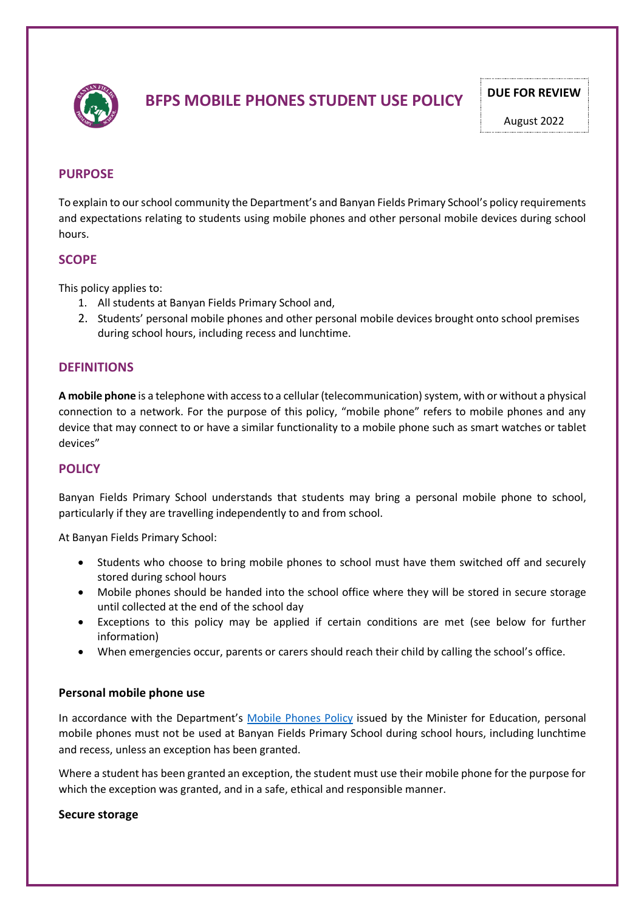

# **BFPS MOBILE PHONES STUDENT USE POLICY PULLE FOR REVIEW**

August 2022

# **PURPOSE**

To explain to our school community the Department's and Banyan Fields Primary School's policy requirements and expectations relating to students using mobile phones and other personal mobile devices during school hours.

## **SCOPE**

This policy applies to:

- 1. All students at Banyan Fields Primary School and,
- 2. Students' personal mobile phones and other personal mobile devices brought onto school premises during school hours, including recess and lunchtime.

## **DEFINITIONS**

**A mobile phone** is a telephone with access to a cellular (telecommunication) system, with or without a physical connection to a network. For the purpose of this policy, "mobile phone" refers to mobile phones and any device that may connect to or have a similar functionality to a mobile phone such as smart watches or tablet devices"

# **POLICY**

Banyan Fields Primary School understands that students may bring a personal mobile phone to school, particularly if they are travelling independently to and from school.

At Banyan Fields Primary School:

- Students who choose to bring mobile phones to school must have them switched off and securely stored during school hours
- Mobile phones should be handed into the school office where they will be stored in secure storage until collected at the end of the school day
- Exceptions to this policy may be applied if certain conditions are met (see below for further information)
- When emergencies occur, parents or carers should reach their child by calling the school's office.

## **Personal mobile phone use**

In accordance with the Department's Mobile Phones Policy issued by the Minister for Education, personal mobile phones must not be used at Banyan Fields Primary School during school hours, including lunchtime and recess, unless an exception has been granted.

Where a student has been granted an exception, the student must use their mobile phone for the purpose for which the exception was granted, and in a safe, ethical and responsible manner.

#### **Secure storage**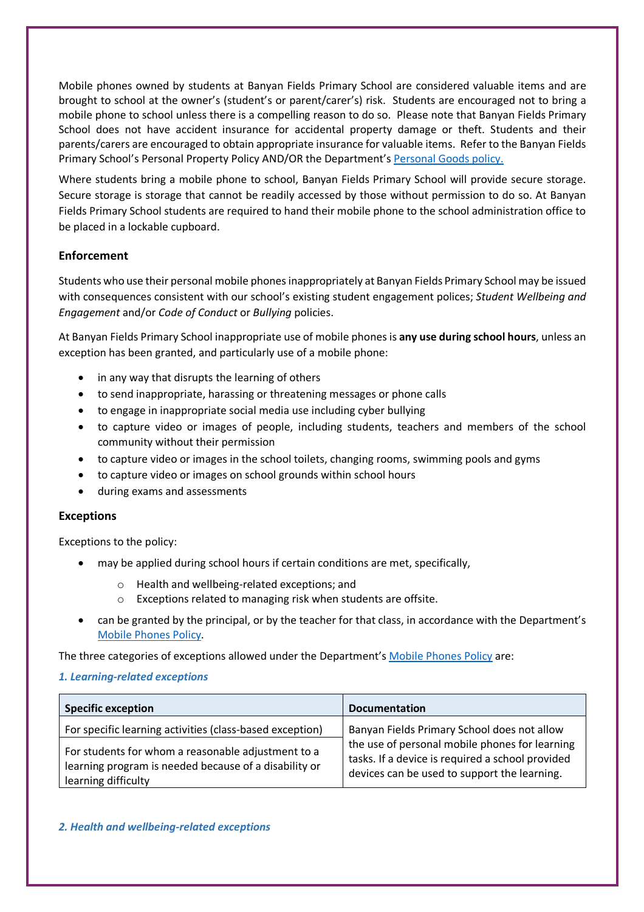Mobile phones owned by students at Banyan Fields Primary School are considered valuable items and are brought to school at the owner's (student's or parent/carer's) risk. Students are encouraged not to bring a mobile phone to school unless there is a compelling reason to do so. Please note that Banyan Fields Primary School does not have accident insurance for accidental property damage or theft. Students and their parents/carers are encouraged to obtain appropriate insurance for valuable items. Refer to the Banyan Fields Primary School's Personal Property Policy AND/OR the Department's Personal Goods policy.

Where students bring a mobile phone to school, Banyan Fields Primary School will provide secure storage. Secure storage is storage that cannot be readily accessed by those without permission to do so. At Banyan Fields Primary School students are required to hand their mobile phone to the school administration office to be placed in a lockable cupboard.

# **Enforcement**

Students who use their personal mobile phones inappropriately at Banyan Fields Primary School may be issued with consequences consistent with our school's existing student engagement polices; *Student Wellbeing and Engagement* and/or *Code of Conduct* or *Bullying* policies.

At Banyan Fields Primary School inappropriate use of mobile phones is **any use during school hours**, unless an exception has been granted, and particularly use of a mobile phone:

- in any way that disrupts the learning of others
- to send inappropriate, harassing or threatening messages or phone calls
- to engage in inappropriate social media use including cyber bullying
- to capture video or images of people, including students, teachers and members of the school community without their permission
- to capture video or images in the school toilets, changing rooms, swimming pools and gyms
- to capture video or images on school grounds within school hours
- during exams and assessments

## **Exceptions**

Exceptions to the policy:

- may be applied during school hours if certain conditions are met, specifically,
	- o Health and wellbeing-related exceptions; and
	- o Exceptions related to managing risk when students are offsite.
- can be granted by the principal, or by the teacher for that class, in accordance with the Department's Mobile Phones Policy.

The three categories of exceptions allowed under the Department's Mobile Phones Policy are:

## *1. Learning-related exceptions*

| <b>Specific exception</b>                                                                                                          | <b>Documentation</b>                                                                                                                               |
|------------------------------------------------------------------------------------------------------------------------------------|----------------------------------------------------------------------------------------------------------------------------------------------------|
| For specific learning activities (class-based exception)                                                                           | Banyan Fields Primary School does not allow                                                                                                        |
| For students for whom a reasonable adjustment to a<br>learning program is needed because of a disability or<br>learning difficulty | the use of personal mobile phones for learning<br>tasks. If a device is required a school provided<br>devices can be used to support the learning. |

## *2. Health and wellbeing-related exceptions*